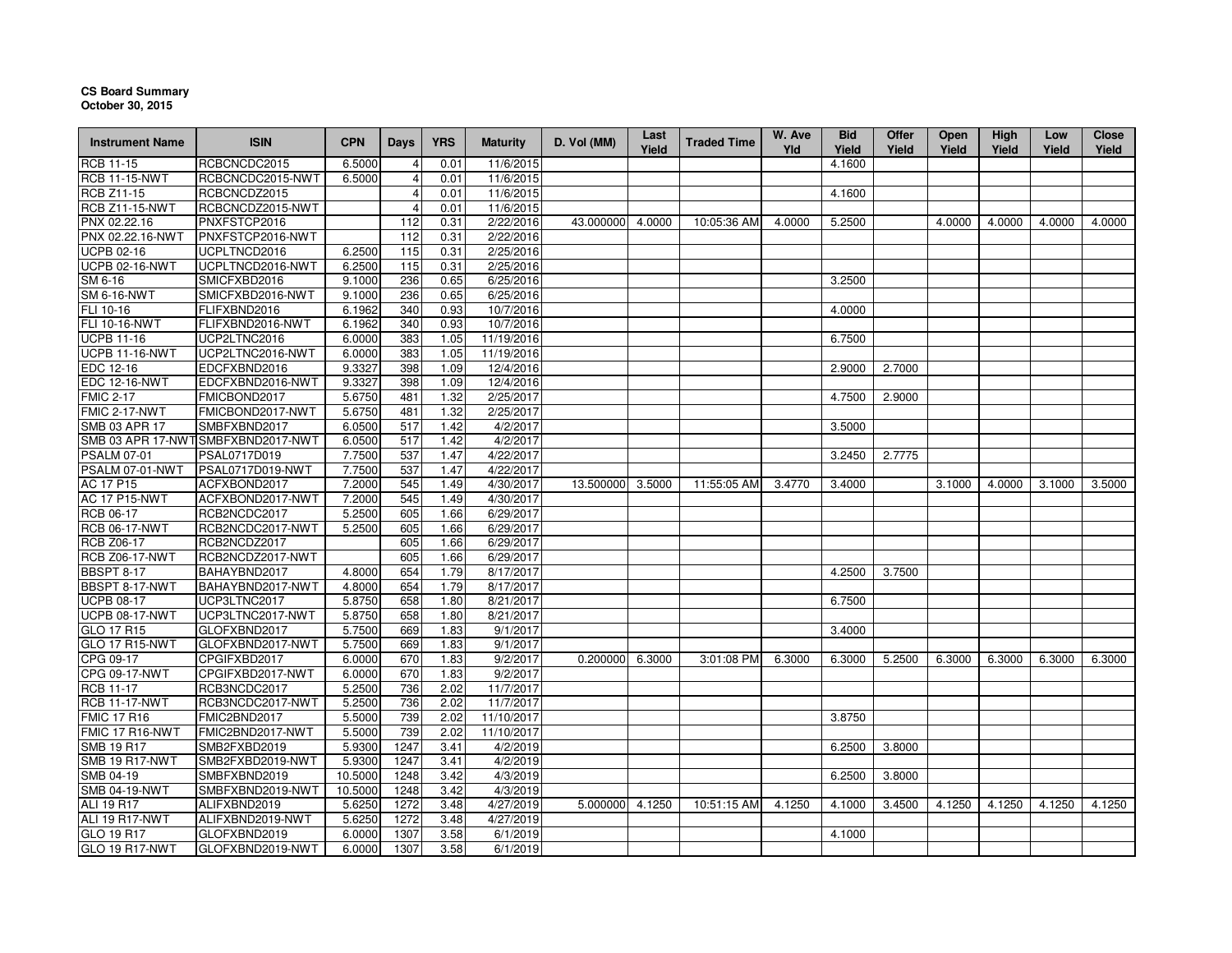## **CS Board SummaryOctober 30, 2015**

| <b>Instrument Name</b> | <b>ISIN</b>                        | <b>CPN</b> | <b>Days</b>    | <b>YRS</b> | <b>Maturity</b> | D. Vol (MM) | Last<br>Yield | <b>Traded Time</b> | W. Ave<br>Yld | <b>Bid</b><br>Yield | <b>Offer</b><br>Yield | <b>Open</b><br>Yield | <b>High</b><br>Yield | Low<br>Yield | <b>Close</b><br>Yield |
|------------------------|------------------------------------|------------|----------------|------------|-----------------|-------------|---------------|--------------------|---------------|---------------------|-----------------------|----------------------|----------------------|--------------|-----------------------|
| <b>RCB 11-15</b>       | RCBCNCDC2015                       | 6.5000     |                | 0.01       | 11/6/2015       |             |               |                    |               | 4.1600              |                       |                      |                      |              |                       |
| <b>RCB 11-15-NWT</b>   | RCBCNCDC2015-NWT                   | 6.5000     | $\overline{4}$ | 0.01       | 11/6/2015       |             |               |                    |               |                     |                       |                      |                      |              |                       |
| <b>RCB Z11-15</b>      | RCBCNCDZ2015                       |            | $\overline{4}$ | 0.01       | 11/6/2015       |             |               |                    |               | 4.1600              |                       |                      |                      |              |                       |
| <b>RCB Z11-15-NWT</b>  | RCBCNCDZ2015-NWT                   |            |                | 0.01       | 11/6/2015       |             |               |                    |               |                     |                       |                      |                      |              |                       |
| PNX 02.22.16           | PNXFSTCP2016                       |            | 112            | 0.31       | 2/22/2016       | 43.000000   | 4.0000        | 10:05:36 AM        | 4.0000        | 5.2500              |                       | 4.0000               | 4.0000               | 4.0000       | 4.0000                |
| PNX 02.22.16-NWT       | PNXFSTCP2016-NWT                   |            | 112            | 0.31       | 2/22/2016       |             |               |                    |               |                     |                       |                      |                      |              |                       |
| <b>UCPB 02-16</b>      | UCPLTNCD2016                       | 6.2500     | 115            | 0.31       | 2/25/2016       |             |               |                    |               |                     |                       |                      |                      |              |                       |
| <b>UCPB 02-16-NWT</b>  | UCPLTNCD2016-NWT                   | 6.2500     | 115            | 0.31       | 2/25/2016       |             |               |                    |               |                     |                       |                      |                      |              |                       |
| SM 6-16                | SMICFXBD2016                       | 9.1000     | 236            | 0.65       | 6/25/2016       |             |               |                    |               | 3.2500              |                       |                      |                      |              |                       |
| <b>SM 6-16-NWT</b>     | SMICFXBD2016-NWT                   | 9.1000     | 236            | 0.65       | 6/25/2016       |             |               |                    |               |                     |                       |                      |                      |              |                       |
| FLI 10-16              | FLIFXBND2016                       | 6.1962     | 340            | 0.93       | 10/7/2016       |             |               |                    |               | 4.0000              |                       |                      |                      |              |                       |
| FLI 10-16-NWT          | FLIFXBND2016-NWT                   | 6.1962     | 340            | 0.93       | 10/7/2016       |             |               |                    |               |                     |                       |                      |                      |              |                       |
| <b>UCPB 11-16</b>      | UCP2LTNC2016                       | 6.0000     | 383            | 1.05       | 11/19/2016      |             |               |                    |               | 6.7500              |                       |                      |                      |              |                       |
| <b>UCPB 11-16-NWT</b>  | UCP2LTNC2016-NWT                   | 6.0000     | 383            | 1.05       | 11/19/2016      |             |               |                    |               |                     |                       |                      |                      |              |                       |
| EDC 12-16              | EDCFXBND2016                       | 9.3327     | 398            | 1.09       | 12/4/2016       |             |               |                    |               | 2.9000              | 2.7000                |                      |                      |              |                       |
| <b>EDC 12-16-NWT</b>   | EDCFXBND2016-NWT                   | 9.3327     | 398            | 1.09       | 12/4/2016       |             |               |                    |               |                     |                       |                      |                      |              |                       |
| <b>FMIC 2-17</b>       | FMICBOND2017                       | 5.6750     | 481            | 1.32       | 2/25/2017       |             |               |                    |               | 4.7500              | 2.9000                |                      |                      |              |                       |
| <b>FMIC 2-17-NWT</b>   | FMICBOND2017-NWT                   | 5.6750     | 481            | 1.32       | 2/25/2017       |             |               |                    |               |                     |                       |                      |                      |              |                       |
| <b>SMB 03 APR 17</b>   | SMBFXBND2017                       | 6.0500     | 517            | 1.42       | 4/2/2017        |             |               |                    |               | 3.5000              |                       |                      |                      |              |                       |
|                        | SMB 03 APR 17-NWT SMBFXBND2017-NWT | 6.0500     | 517            | 1.42       | 4/2/2017        |             |               |                    |               |                     |                       |                      |                      |              |                       |
| <b>PSALM 07-01</b>     | PSAL0717D019                       | 7.7500     | 537            | 1.47       | 4/22/2017       |             |               |                    |               | 3.2450              | 2.7775                |                      |                      |              |                       |
| PSALM 07-01-NWT        | PSAL0717D019-NWT                   | 7.7500     | 537            | 1.47       | 4/22/2017       |             |               |                    |               |                     |                       |                      |                      |              |                       |
| <b>AC 17 P15</b>       | ACFXBOND2017                       | 7.2000     | 545            | 1.49       | 4/30/2017       | 13.500000   | 3.5000        | 11:55:05 AM        | 3.4770        | 3.4000              |                       | 3.1000               | 4.0000               | 3.1000       | 3.5000                |
| <b>AC 17 P15-NWT</b>   | ACFXBOND2017-NWT                   | 7.2000     | 545            | 1.49       | 4/30/2017       |             |               |                    |               |                     |                       |                      |                      |              |                       |
| RCB 06-17              | RCB2NCDC2017                       | 5.2500     | 605            | 1.66       | 6/29/2017       |             |               |                    |               |                     |                       |                      |                      |              |                       |
| <b>RCB 06-17-NWT</b>   | RCB2NCDC2017-NWT                   | 5.2500     | 605            | 1.66       | 6/29/2017       |             |               |                    |               |                     |                       |                      |                      |              |                       |
| <b>RCB Z06-17</b>      | RCB2NCDZ2017                       |            | 605            | 1.66       | 6/29/2017       |             |               |                    |               |                     |                       |                      |                      |              |                       |
| <b>RCB Z06-17-NWT</b>  | RCB2NCDZ2017-NWT                   |            | 605            | 1.66       | 6/29/2017       |             |               |                    |               |                     |                       |                      |                      |              |                       |
| <b>BBSPT 8-17</b>      | BAHAYBND2017                       | 4.8000     | 654            | 1.79       | 8/17/2017       |             |               |                    |               | 4.2500              | 3.7500                |                      |                      |              |                       |
| BBSPT 8-17-NWT         | BAHAYBND2017-NWT                   | 4.8000     | 654            | 1.79       | 8/17/2017       |             |               |                    |               |                     |                       |                      |                      |              |                       |
| <b>UCPB 08-17</b>      | UCP3LTNC2017                       | 5.8750     | 658            | 1.80       | 8/21/2017       |             |               |                    |               | 6.7500              |                       |                      |                      |              |                       |
| <b>UCPB 08-17-NWT</b>  | UCP3LTNC2017-NWT                   | 5.8750     | 658            | 1.80       | 8/21/2017       |             |               |                    |               |                     |                       |                      |                      |              |                       |
| GLO 17 R15             | GLOFXBND2017                       | 5.7500     | 669            | 1.83       | 9/1/2017        |             |               |                    |               | 3.4000              |                       |                      |                      |              |                       |
| GLO 17 R15-NWT         | GLOFXBND2017-NWT                   | 5.7500     | 669            | 1.83       | 9/1/2017        |             |               |                    |               |                     |                       |                      |                      |              |                       |
| CPG 09-17              | CPGIFXBD2017                       | 6.0000     | 670            | 1.83       | 9/2/2017        | 0.200000    | 6.3000        | 3:01:08 PM         | 6.3000        | 6.3000              | 5.2500                | 6.3000               | 6.3000               | 6.3000       | 6.3000                |
| CPG 09-17-NWT          | CPGIFXBD2017-NWT                   | 6.0000     | 670            | 1.83       | 9/2/2017        |             |               |                    |               |                     |                       |                      |                      |              |                       |
| <b>RCB 11-17</b>       | RCB3NCDC2017                       | 5.2500     | 736            | 2.02       | 11/7/2017       |             |               |                    |               |                     |                       |                      |                      |              |                       |
| <b>RCB 11-17-NWT</b>   | RCB3NCDC2017-NWT                   | 5.2500     | 736            | 2.02       | 11/7/2017       |             |               |                    |               |                     |                       |                      |                      |              |                       |
| <b>FMIC 17 R16</b>     | FMIC2BND2017                       | 5.5000     | 739            | 2.02       | 11/10/2017      |             |               |                    |               | 3.8750              |                       |                      |                      |              |                       |
| FMIC 17 R16-NWT        | FMIC2BND2017-NWT                   | 5.5000     | 739            | 2.02       | 11/10/2017      |             |               |                    |               |                     |                       |                      |                      |              |                       |
| <b>SMB 19 R17</b>      | SMB2FXBD2019                       | 5.9300     | 1247           | 3.41       | 4/2/2019        |             |               |                    |               | 6.2500              | 3.8000                |                      |                      |              |                       |
| SMB 19 R17-NWT         | SMB2FXBD2019-NWT                   | 5.9300     | 1247           | 3.41       | 4/2/2019        |             |               |                    |               |                     |                       |                      |                      |              |                       |
| SMB 04-19              | SMBFXBND2019                       | 10.5000    | 1248           | 3.42       | 4/3/2019        |             |               |                    |               | 6.2500              | 3.8000                |                      |                      |              |                       |
| <b>SMB 04-19-NWT</b>   | SMBFXBND2019-NWT                   | 10.5000    | 1248           | 3.42       | 4/3/2019        |             |               |                    |               |                     |                       |                      |                      |              |                       |
| <b>ALI 19 R17</b>      | ALIFXBND2019                       | 5.6250     | 1272           | 3.48       | 4/27/2019       | 5.000000    | 4.1250        | 10:51:15 AM        | 4.1250        | 4.1000              | 3.4500                | 4.1250               | 4.1250               | 4.1250       | 4.1250                |
| ALI 19 R17-NWT         | ALIFXBND2019-NWT                   | 5.6250     | 1272           | 3.48       | 4/27/2019       |             |               |                    |               |                     |                       |                      |                      |              |                       |
| GLO 19 R17             | GLOFXBND2019                       | 6.0000     | 1307           | 3.58       | 6/1/2019        |             |               |                    |               | 4.1000              |                       |                      |                      |              |                       |
| GLO 19 R17-NWT         | GLOFXBND2019-NWT                   | 6.0000     | 1307           | 3.58       | 6/1/2019        |             |               |                    |               |                     |                       |                      |                      |              |                       |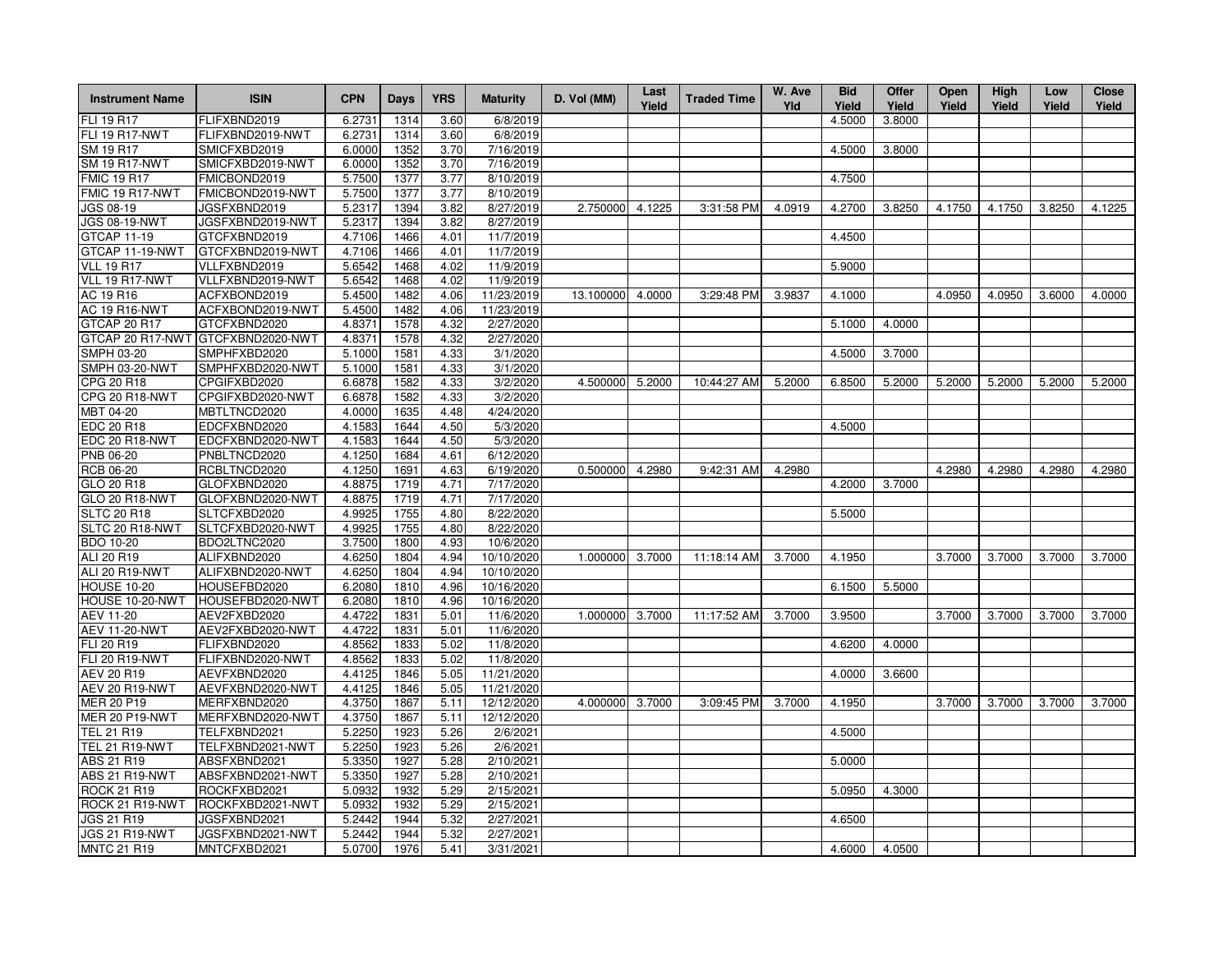| FLI 19 R17<br>FLIFXBND2019<br>6.2731<br>1314<br>3.60<br>6/8/2019<br>4.5000<br>3.8000<br><b>FLI 19 R17-NWT</b><br>FLIFXBND2019-NWT<br>6/8/2019<br>6.2731<br>1314<br>3.60<br>1352<br>7/16/2019<br>4.5000<br>SMICFXBD2019<br>6.0000<br>3.70<br>3.8000<br><b>SM 19 R17-NWT</b><br>SMICFXBD2019-NWT<br>7/16/2019<br>6.0000<br>1352<br>3.70<br>FMICBOND2019<br>5.7500<br>3.77<br>8/10/2019<br>4.7500<br>1377<br>FMICBOND2019-NWT<br>8/10/2019<br>5.7500<br>1377<br>3.77<br>JGS 08-19<br>JGSFXBND2019<br>5.2317<br>1394<br>3.82<br>8/27/2019<br>2.750000 4.1225<br>4.0919<br>4.2700<br>3.8250<br>4.1750<br>4.1750<br>3.8250<br>3:31:58 PM<br>4.1225<br><b>JGS 08-19-NWT</b><br>JGSFXBND2019-NWT<br>8/27/2019<br>5.2317<br>1394<br>3.82<br>GTCFXBND2019<br>4.7106<br>1466<br>4.01<br>11/7/2019<br>4.4500<br>GTCFXBND2019-NWT<br>4.7106<br>4.01<br>11/7/2019<br>1466<br>VLLFXBND2019<br>5.6542<br>11/9/2019<br>1468<br>4.02<br>5.9000<br>VLLFXBND2019-NWT<br>5.6542<br>4.02<br>11/9/2019<br>1468<br>ACFXBOND2019<br>11/23/2019<br>5.4500<br>1482<br>4.06<br>13.100000<br>4.0000<br>3:29:48 PM<br>3.9837<br>4.1000<br>4.0950<br>4.0950<br>3.6000<br>4.0000<br>ACFXBOND2019-NWT<br>5.4500<br>1482<br>4.06<br>11/23/2019<br>4.32<br>2/27/2020<br>GTCFXBND2020<br>4.8371<br>1578<br>5.1000<br>4.0000<br>GTCFXBND2020-NWT<br>4.8371<br>4.32<br>2/27/2020<br>1578<br>SMPH 03-20<br>SMPHFXBD2020<br>5.1000<br>1581<br>4.33<br>3/1/2020<br>4.5000<br>3.7000<br>SMPH 03-20-NWT<br>SMPHFXBD2020-NWT<br>5.1000<br>1581<br>4.33<br>3/1/2020<br>CPG 20 R18<br>CPGIFXBD2020<br>6.6878<br>1582<br>4.33<br>3/2/2020<br>4.500000 5.2000<br>10:44:27 AM<br>5.2000<br>6.8500<br>5.2000<br>5.2000<br>5.2000<br>5.2000<br>5.2000<br>CPG 20 R18-NWT<br>CPGIFXBD2020-NWT<br>1582<br>4.33<br>3/2/2020<br>6.6878<br>MBT 04-20<br>MBTLTNCD2020<br>4/24/2020<br>4.0000<br>1635<br>4.48<br>EDC 20 R18<br>EDCFXBND2020<br>5/3/2020<br>4.1583<br>1644<br>4.50<br>4.5000<br><b>EDC 20 R18-NWT</b><br>EDCFXBND2020-NWT<br>4.1583<br>1644<br>4.50<br>5/3/2020<br>PNB 06-20<br>PNBLTNCD2020<br>4.1250<br>6/12/2020<br>1684<br>4.61<br><b>RCB 06-20</b><br>RCBLTNCD2020<br>4.1250<br>1691<br>4.63<br>6/19/2020<br>9:42:31 AM<br>4.2980<br>4.2980<br>4.2980<br>0.500000<br>4.2980<br>4.2980<br>4.2980<br>4.71<br>7/17/2020<br>GLO 20 R18<br>GLOFXBND2020<br>4.8875<br>1719<br>4.2000<br>3.7000<br><b>GLO 20 R18-NWT</b><br>GLOFXBND2020-NWT<br>4.71<br>7/17/2020<br>4.8875<br>1719<br><b>SLTC 20 R18</b><br>SLTCFXBD2020<br>4.9925<br>1755<br>4.80<br>8/22/2020<br>5.5000<br>SLTCFXBD2020-NWT<br>8/22/2020<br>SLTC 20 R18-NWT<br>4.9925<br>1755<br>4.80<br>10/6/2020<br><b>BDO 10-20</b><br>BDO2LTNC2020<br>3.7500<br>1800<br>4.93<br>ALI 20 R19<br>ALIFXBND2020<br>4.6250<br>1804<br>4.94<br>10/10/2020<br>1.000000 3.7000<br>11:18:14 AM<br>3.7000<br>4.1950<br>3.7000<br>3.7000<br>3.7000<br>3.7000<br>ALI 20 R19-NWT<br>ALIFXBND2020-NWT<br>4.6250<br>1804<br>4.94<br>10/10/2020<br><b>HOUSE 10-20</b><br>HOUSEFBD2020<br>6.2080<br>1810<br>4.96<br>10/16/2020<br>6.1500<br>5.5000<br>HOUSE 10-20-NWT<br>HOUSEFBD2020-NWT<br>6.2080<br>10/16/2020<br>1810<br>4.96<br>3.9500<br>AEV 11-20<br>AEV2FXBD2020<br>4.4722<br>1831<br>5.01<br>11/6/2020<br>1.000000<br>3.7000<br>11:17:52 AM<br>3.7000<br>3.7000<br>3.7000<br>3.7000<br>3.7000<br><b>AEV 11-20-NWT</b><br>AEV2FXBD2020-NWT<br>4.4722<br>1831<br>5.01<br>11/6/2020<br>FLIFXBND2020<br>4.8562<br>1833<br>5.02<br>11/8/2020<br>4.6200<br>4.0000<br><b>FLI 20 R19-NWT</b><br>FLIFXBND2020-NWT<br>11/8/2020<br>4.8562<br>1833<br>5.02<br>AEVFXBND2020<br>11/21/2020<br>4.0000<br><b>AEV 20 R19</b><br>4.4125<br>1846<br>5.05<br>3.6600<br>AEV 20 R19-NWT<br>AEVFXBND2020-NWT<br>11/21/2020<br>4.4125<br>1846<br>5.05<br><b>MER 20 P19</b><br>MERFXBND2020<br>4.3750<br>1867<br>5.11<br>12/12/2020<br>4.000000 3.7000<br>3:09:45 PM<br>3.7000<br>4.1950<br>3.7000<br>3.7000<br>3.7000<br>3.7000<br><b>MER 20 P19-NWT</b><br>12/12/2020<br>MERFXBND2020-NWT<br>4.3750<br>1867<br>5.11<br><b>TEL 21 R19</b><br>TELFXBND2021<br>5.2250<br>1923<br>5.26<br>2/6/2021<br>4.5000<br><b>TEL 21 R19-NWT</b><br>TELFXBND2021-NWT<br>5.2250<br>1923<br>5.26<br>2/6/2021<br>ABS 21 R19<br>ABSFXBND2021<br>5.3350<br>1927<br>5.28<br>2/10/2021<br>5.0000<br>ABS 21 R19-NWT<br>ABSFXBND2021-NWT<br>5.3350<br>1927<br>5.28<br>2/10/2021<br><b>ROCK 21 R19</b><br>ROCKFXBD2021<br>5.0950<br>5.0932<br>1932<br>5.29<br>2/15/2021<br>4.3000<br>ROCK 21 R19-NWT<br>ROCKFXBD2021-NWT<br>5.29<br>2/15/2021<br>5.0932<br>1932<br>JGS 21 R19<br>JGSFXBND2021<br>5.2442<br>1944<br>5.32<br>2/27/2021<br>4.6500<br>JGS 21 R19-NWT<br>JGSFXBND2021-NWT<br>5.2442<br>1944<br>5.32<br>2/27/2021<br><b>MNTC 21 R19</b><br>MNTCFXBD2021<br>5.0700<br>1976<br>5.41<br>3/31/2021<br>4.6000<br>4.0500 | <b>Instrument Name</b> | <b>ISIN</b> | <b>CPN</b> | Days | <b>YRS</b> | <b>Maturity</b> | D. Vol (MM) | Last<br>Yield | <b>Traded Time</b> | W. Ave<br>Yld | <b>Bid</b><br>Yield | Offer<br>Yield | <b>Open</b><br>Yield | High<br>Yield | Low<br>Yield | <b>Close</b><br>Yield |
|-------------------------------------------------------------------------------------------------------------------------------------------------------------------------------------------------------------------------------------------------------------------------------------------------------------------------------------------------------------------------------------------------------------------------------------------------------------------------------------------------------------------------------------------------------------------------------------------------------------------------------------------------------------------------------------------------------------------------------------------------------------------------------------------------------------------------------------------------------------------------------------------------------------------------------------------------------------------------------------------------------------------------------------------------------------------------------------------------------------------------------------------------------------------------------------------------------------------------------------------------------------------------------------------------------------------------------------------------------------------------------------------------------------------------------------------------------------------------------------------------------------------------------------------------------------------------------------------------------------------------------------------------------------------------------------------------------------------------------------------------------------------------------------------------------------------------------------------------------------------------------------------------------------------------------------------------------------------------------------------------------------------------------------------------------------------------------------------------------------------------------------------------------------------------------------------------------------------------------------------------------------------------------------------------------------------------------------------------------------------------------------------------------------------------------------------------------------------------------------------------------------------------------------------------------------------------------------------------------------------------------------------------------------------------------------------------------------------------------------------------------------------------------------------------------------------------------------------------------------------------------------------------------------------------------------------------------------------------------------------------------------------------------------------------------------------------------------------------------------------------------------------------------------------------------------------------------------------------------------------------------------------------------------------------------------------------------------------------------------------------------------------------------------------------------------------------------------------------------------------------------------------------------------------------------------------------------------------------------------------------------------------------------------------------------------------------------------------------------------------------------------------------------------------------------------------------------------------------------------------------------------------------------------------------------------------------------------------------------------------------------------------------------------------------------------------------------------------------------------------------------------------------------------------------------------------------------------------------------------------------------------------------------------------------------------------------------------------------------------------------------------------------------------------------------------------------------------------------------------------------------------------------------------------------------------------------------------------------------------------------------------------------------------------------------------------------------------------------------------------------------------------------------|------------------------|-------------|------------|------|------------|-----------------|-------------|---------------|--------------------|---------------|---------------------|----------------|----------------------|---------------|--------------|-----------------------|
|                                                                                                                                                                                                                                                                                                                                                                                                                                                                                                                                                                                                                                                                                                                                                                                                                                                                                                                                                                                                                                                                                                                                                                                                                                                                                                                                                                                                                                                                                                                                                                                                                                                                                                                                                                                                                                                                                                                                                                                                                                                                                                                                                                                                                                                                                                                                                                                                                                                                                                                                                                                                                                                                                                                                                                                                                                                                                                                                                                                                                                                                                                                                                                                                                                                                                                                                                                                                                                                                                                                                                                                                                                                                                                                                                                                                                                                                                                                                                                                                                                                                                                                                                                                                                                                                                                                                                                                                                                                                                                                                                                                                                                                                                                                                                                               |                        |             |            |      |            |                 |             |               |                    |               |                     |                |                      |               |              |                       |
|                                                                                                                                                                                                                                                                                                                                                                                                                                                                                                                                                                                                                                                                                                                                                                                                                                                                                                                                                                                                                                                                                                                                                                                                                                                                                                                                                                                                                                                                                                                                                                                                                                                                                                                                                                                                                                                                                                                                                                                                                                                                                                                                                                                                                                                                                                                                                                                                                                                                                                                                                                                                                                                                                                                                                                                                                                                                                                                                                                                                                                                                                                                                                                                                                                                                                                                                                                                                                                                                                                                                                                                                                                                                                                                                                                                                                                                                                                                                                                                                                                                                                                                                                                                                                                                                                                                                                                                                                                                                                                                                                                                                                                                                                                                                                                               |                        |             |            |      |            |                 |             |               |                    |               |                     |                |                      |               |              |                       |
|                                                                                                                                                                                                                                                                                                                                                                                                                                                                                                                                                                                                                                                                                                                                                                                                                                                                                                                                                                                                                                                                                                                                                                                                                                                                                                                                                                                                                                                                                                                                                                                                                                                                                                                                                                                                                                                                                                                                                                                                                                                                                                                                                                                                                                                                                                                                                                                                                                                                                                                                                                                                                                                                                                                                                                                                                                                                                                                                                                                                                                                                                                                                                                                                                                                                                                                                                                                                                                                                                                                                                                                                                                                                                                                                                                                                                                                                                                                                                                                                                                                                                                                                                                                                                                                                                                                                                                                                                                                                                                                                                                                                                                                                                                                                                                               | SM 19 R17              |             |            |      |            |                 |             |               |                    |               |                     |                |                      |               |              |                       |
|                                                                                                                                                                                                                                                                                                                                                                                                                                                                                                                                                                                                                                                                                                                                                                                                                                                                                                                                                                                                                                                                                                                                                                                                                                                                                                                                                                                                                                                                                                                                                                                                                                                                                                                                                                                                                                                                                                                                                                                                                                                                                                                                                                                                                                                                                                                                                                                                                                                                                                                                                                                                                                                                                                                                                                                                                                                                                                                                                                                                                                                                                                                                                                                                                                                                                                                                                                                                                                                                                                                                                                                                                                                                                                                                                                                                                                                                                                                                                                                                                                                                                                                                                                                                                                                                                                                                                                                                                                                                                                                                                                                                                                                                                                                                                                               |                        |             |            |      |            |                 |             |               |                    |               |                     |                |                      |               |              |                       |
|                                                                                                                                                                                                                                                                                                                                                                                                                                                                                                                                                                                                                                                                                                                                                                                                                                                                                                                                                                                                                                                                                                                                                                                                                                                                                                                                                                                                                                                                                                                                                                                                                                                                                                                                                                                                                                                                                                                                                                                                                                                                                                                                                                                                                                                                                                                                                                                                                                                                                                                                                                                                                                                                                                                                                                                                                                                                                                                                                                                                                                                                                                                                                                                                                                                                                                                                                                                                                                                                                                                                                                                                                                                                                                                                                                                                                                                                                                                                                                                                                                                                                                                                                                                                                                                                                                                                                                                                                                                                                                                                                                                                                                                                                                                                                                               | <b>FMIC 19 R17</b>     |             |            |      |            |                 |             |               |                    |               |                     |                |                      |               |              |                       |
|                                                                                                                                                                                                                                                                                                                                                                                                                                                                                                                                                                                                                                                                                                                                                                                                                                                                                                                                                                                                                                                                                                                                                                                                                                                                                                                                                                                                                                                                                                                                                                                                                                                                                                                                                                                                                                                                                                                                                                                                                                                                                                                                                                                                                                                                                                                                                                                                                                                                                                                                                                                                                                                                                                                                                                                                                                                                                                                                                                                                                                                                                                                                                                                                                                                                                                                                                                                                                                                                                                                                                                                                                                                                                                                                                                                                                                                                                                                                                                                                                                                                                                                                                                                                                                                                                                                                                                                                                                                                                                                                                                                                                                                                                                                                                                               | FMIC 19 R17-NWT        |             |            |      |            |                 |             |               |                    |               |                     |                |                      |               |              |                       |
|                                                                                                                                                                                                                                                                                                                                                                                                                                                                                                                                                                                                                                                                                                                                                                                                                                                                                                                                                                                                                                                                                                                                                                                                                                                                                                                                                                                                                                                                                                                                                                                                                                                                                                                                                                                                                                                                                                                                                                                                                                                                                                                                                                                                                                                                                                                                                                                                                                                                                                                                                                                                                                                                                                                                                                                                                                                                                                                                                                                                                                                                                                                                                                                                                                                                                                                                                                                                                                                                                                                                                                                                                                                                                                                                                                                                                                                                                                                                                                                                                                                                                                                                                                                                                                                                                                                                                                                                                                                                                                                                                                                                                                                                                                                                                                               |                        |             |            |      |            |                 |             |               |                    |               |                     |                |                      |               |              |                       |
|                                                                                                                                                                                                                                                                                                                                                                                                                                                                                                                                                                                                                                                                                                                                                                                                                                                                                                                                                                                                                                                                                                                                                                                                                                                                                                                                                                                                                                                                                                                                                                                                                                                                                                                                                                                                                                                                                                                                                                                                                                                                                                                                                                                                                                                                                                                                                                                                                                                                                                                                                                                                                                                                                                                                                                                                                                                                                                                                                                                                                                                                                                                                                                                                                                                                                                                                                                                                                                                                                                                                                                                                                                                                                                                                                                                                                                                                                                                                                                                                                                                                                                                                                                                                                                                                                                                                                                                                                                                                                                                                                                                                                                                                                                                                                                               |                        |             |            |      |            |                 |             |               |                    |               |                     |                |                      |               |              |                       |
|                                                                                                                                                                                                                                                                                                                                                                                                                                                                                                                                                                                                                                                                                                                                                                                                                                                                                                                                                                                                                                                                                                                                                                                                                                                                                                                                                                                                                                                                                                                                                                                                                                                                                                                                                                                                                                                                                                                                                                                                                                                                                                                                                                                                                                                                                                                                                                                                                                                                                                                                                                                                                                                                                                                                                                                                                                                                                                                                                                                                                                                                                                                                                                                                                                                                                                                                                                                                                                                                                                                                                                                                                                                                                                                                                                                                                                                                                                                                                                                                                                                                                                                                                                                                                                                                                                                                                                                                                                                                                                                                                                                                                                                                                                                                                                               | GTCAP 11-19            |             |            |      |            |                 |             |               |                    |               |                     |                |                      |               |              |                       |
|                                                                                                                                                                                                                                                                                                                                                                                                                                                                                                                                                                                                                                                                                                                                                                                                                                                                                                                                                                                                                                                                                                                                                                                                                                                                                                                                                                                                                                                                                                                                                                                                                                                                                                                                                                                                                                                                                                                                                                                                                                                                                                                                                                                                                                                                                                                                                                                                                                                                                                                                                                                                                                                                                                                                                                                                                                                                                                                                                                                                                                                                                                                                                                                                                                                                                                                                                                                                                                                                                                                                                                                                                                                                                                                                                                                                                                                                                                                                                                                                                                                                                                                                                                                                                                                                                                                                                                                                                                                                                                                                                                                                                                                                                                                                                                               | GTCAP 11-19-NWT        |             |            |      |            |                 |             |               |                    |               |                     |                |                      |               |              |                       |
|                                                                                                                                                                                                                                                                                                                                                                                                                                                                                                                                                                                                                                                                                                                                                                                                                                                                                                                                                                                                                                                                                                                                                                                                                                                                                                                                                                                                                                                                                                                                                                                                                                                                                                                                                                                                                                                                                                                                                                                                                                                                                                                                                                                                                                                                                                                                                                                                                                                                                                                                                                                                                                                                                                                                                                                                                                                                                                                                                                                                                                                                                                                                                                                                                                                                                                                                                                                                                                                                                                                                                                                                                                                                                                                                                                                                                                                                                                                                                                                                                                                                                                                                                                                                                                                                                                                                                                                                                                                                                                                                                                                                                                                                                                                                                                               | <b>VLL 19 R17</b>      |             |            |      |            |                 |             |               |                    |               |                     |                |                      |               |              |                       |
|                                                                                                                                                                                                                                                                                                                                                                                                                                                                                                                                                                                                                                                                                                                                                                                                                                                                                                                                                                                                                                                                                                                                                                                                                                                                                                                                                                                                                                                                                                                                                                                                                                                                                                                                                                                                                                                                                                                                                                                                                                                                                                                                                                                                                                                                                                                                                                                                                                                                                                                                                                                                                                                                                                                                                                                                                                                                                                                                                                                                                                                                                                                                                                                                                                                                                                                                                                                                                                                                                                                                                                                                                                                                                                                                                                                                                                                                                                                                                                                                                                                                                                                                                                                                                                                                                                                                                                                                                                                                                                                                                                                                                                                                                                                                                                               | VLL 19 R17-NWT         |             |            |      |            |                 |             |               |                    |               |                     |                |                      |               |              |                       |
|                                                                                                                                                                                                                                                                                                                                                                                                                                                                                                                                                                                                                                                                                                                                                                                                                                                                                                                                                                                                                                                                                                                                                                                                                                                                                                                                                                                                                                                                                                                                                                                                                                                                                                                                                                                                                                                                                                                                                                                                                                                                                                                                                                                                                                                                                                                                                                                                                                                                                                                                                                                                                                                                                                                                                                                                                                                                                                                                                                                                                                                                                                                                                                                                                                                                                                                                                                                                                                                                                                                                                                                                                                                                                                                                                                                                                                                                                                                                                                                                                                                                                                                                                                                                                                                                                                                                                                                                                                                                                                                                                                                                                                                                                                                                                                               | AC 19 R16              |             |            |      |            |                 |             |               |                    |               |                     |                |                      |               |              |                       |
|                                                                                                                                                                                                                                                                                                                                                                                                                                                                                                                                                                                                                                                                                                                                                                                                                                                                                                                                                                                                                                                                                                                                                                                                                                                                                                                                                                                                                                                                                                                                                                                                                                                                                                                                                                                                                                                                                                                                                                                                                                                                                                                                                                                                                                                                                                                                                                                                                                                                                                                                                                                                                                                                                                                                                                                                                                                                                                                                                                                                                                                                                                                                                                                                                                                                                                                                                                                                                                                                                                                                                                                                                                                                                                                                                                                                                                                                                                                                                                                                                                                                                                                                                                                                                                                                                                                                                                                                                                                                                                                                                                                                                                                                                                                                                                               | <b>AC 19 R16-NWT</b>   |             |            |      |            |                 |             |               |                    |               |                     |                |                      |               |              |                       |
|                                                                                                                                                                                                                                                                                                                                                                                                                                                                                                                                                                                                                                                                                                                                                                                                                                                                                                                                                                                                                                                                                                                                                                                                                                                                                                                                                                                                                                                                                                                                                                                                                                                                                                                                                                                                                                                                                                                                                                                                                                                                                                                                                                                                                                                                                                                                                                                                                                                                                                                                                                                                                                                                                                                                                                                                                                                                                                                                                                                                                                                                                                                                                                                                                                                                                                                                                                                                                                                                                                                                                                                                                                                                                                                                                                                                                                                                                                                                                                                                                                                                                                                                                                                                                                                                                                                                                                                                                                                                                                                                                                                                                                                                                                                                                                               | GTCAP 20 R17           |             |            |      |            |                 |             |               |                    |               |                     |                |                      |               |              |                       |
|                                                                                                                                                                                                                                                                                                                                                                                                                                                                                                                                                                                                                                                                                                                                                                                                                                                                                                                                                                                                                                                                                                                                                                                                                                                                                                                                                                                                                                                                                                                                                                                                                                                                                                                                                                                                                                                                                                                                                                                                                                                                                                                                                                                                                                                                                                                                                                                                                                                                                                                                                                                                                                                                                                                                                                                                                                                                                                                                                                                                                                                                                                                                                                                                                                                                                                                                                                                                                                                                                                                                                                                                                                                                                                                                                                                                                                                                                                                                                                                                                                                                                                                                                                                                                                                                                                                                                                                                                                                                                                                                                                                                                                                                                                                                                                               | GTCAP 20 R17-NWT       |             |            |      |            |                 |             |               |                    |               |                     |                |                      |               |              |                       |
|                                                                                                                                                                                                                                                                                                                                                                                                                                                                                                                                                                                                                                                                                                                                                                                                                                                                                                                                                                                                                                                                                                                                                                                                                                                                                                                                                                                                                                                                                                                                                                                                                                                                                                                                                                                                                                                                                                                                                                                                                                                                                                                                                                                                                                                                                                                                                                                                                                                                                                                                                                                                                                                                                                                                                                                                                                                                                                                                                                                                                                                                                                                                                                                                                                                                                                                                                                                                                                                                                                                                                                                                                                                                                                                                                                                                                                                                                                                                                                                                                                                                                                                                                                                                                                                                                                                                                                                                                                                                                                                                                                                                                                                                                                                                                                               |                        |             |            |      |            |                 |             |               |                    |               |                     |                |                      |               |              |                       |
|                                                                                                                                                                                                                                                                                                                                                                                                                                                                                                                                                                                                                                                                                                                                                                                                                                                                                                                                                                                                                                                                                                                                                                                                                                                                                                                                                                                                                                                                                                                                                                                                                                                                                                                                                                                                                                                                                                                                                                                                                                                                                                                                                                                                                                                                                                                                                                                                                                                                                                                                                                                                                                                                                                                                                                                                                                                                                                                                                                                                                                                                                                                                                                                                                                                                                                                                                                                                                                                                                                                                                                                                                                                                                                                                                                                                                                                                                                                                                                                                                                                                                                                                                                                                                                                                                                                                                                                                                                                                                                                                                                                                                                                                                                                                                                               |                        |             |            |      |            |                 |             |               |                    |               |                     |                |                      |               |              |                       |
|                                                                                                                                                                                                                                                                                                                                                                                                                                                                                                                                                                                                                                                                                                                                                                                                                                                                                                                                                                                                                                                                                                                                                                                                                                                                                                                                                                                                                                                                                                                                                                                                                                                                                                                                                                                                                                                                                                                                                                                                                                                                                                                                                                                                                                                                                                                                                                                                                                                                                                                                                                                                                                                                                                                                                                                                                                                                                                                                                                                                                                                                                                                                                                                                                                                                                                                                                                                                                                                                                                                                                                                                                                                                                                                                                                                                                                                                                                                                                                                                                                                                                                                                                                                                                                                                                                                                                                                                                                                                                                                                                                                                                                                                                                                                                                               |                        |             |            |      |            |                 |             |               |                    |               |                     |                |                      |               |              |                       |
|                                                                                                                                                                                                                                                                                                                                                                                                                                                                                                                                                                                                                                                                                                                                                                                                                                                                                                                                                                                                                                                                                                                                                                                                                                                                                                                                                                                                                                                                                                                                                                                                                                                                                                                                                                                                                                                                                                                                                                                                                                                                                                                                                                                                                                                                                                                                                                                                                                                                                                                                                                                                                                                                                                                                                                                                                                                                                                                                                                                                                                                                                                                                                                                                                                                                                                                                                                                                                                                                                                                                                                                                                                                                                                                                                                                                                                                                                                                                                                                                                                                                                                                                                                                                                                                                                                                                                                                                                                                                                                                                                                                                                                                                                                                                                                               |                        |             |            |      |            |                 |             |               |                    |               |                     |                |                      |               |              |                       |
|                                                                                                                                                                                                                                                                                                                                                                                                                                                                                                                                                                                                                                                                                                                                                                                                                                                                                                                                                                                                                                                                                                                                                                                                                                                                                                                                                                                                                                                                                                                                                                                                                                                                                                                                                                                                                                                                                                                                                                                                                                                                                                                                                                                                                                                                                                                                                                                                                                                                                                                                                                                                                                                                                                                                                                                                                                                                                                                                                                                                                                                                                                                                                                                                                                                                                                                                                                                                                                                                                                                                                                                                                                                                                                                                                                                                                                                                                                                                                                                                                                                                                                                                                                                                                                                                                                                                                                                                                                                                                                                                                                                                                                                                                                                                                                               |                        |             |            |      |            |                 |             |               |                    |               |                     |                |                      |               |              |                       |
|                                                                                                                                                                                                                                                                                                                                                                                                                                                                                                                                                                                                                                                                                                                                                                                                                                                                                                                                                                                                                                                                                                                                                                                                                                                                                                                                                                                                                                                                                                                                                                                                                                                                                                                                                                                                                                                                                                                                                                                                                                                                                                                                                                                                                                                                                                                                                                                                                                                                                                                                                                                                                                                                                                                                                                                                                                                                                                                                                                                                                                                                                                                                                                                                                                                                                                                                                                                                                                                                                                                                                                                                                                                                                                                                                                                                                                                                                                                                                                                                                                                                                                                                                                                                                                                                                                                                                                                                                                                                                                                                                                                                                                                                                                                                                                               |                        |             |            |      |            |                 |             |               |                    |               |                     |                |                      |               |              |                       |
|                                                                                                                                                                                                                                                                                                                                                                                                                                                                                                                                                                                                                                                                                                                                                                                                                                                                                                                                                                                                                                                                                                                                                                                                                                                                                                                                                                                                                                                                                                                                                                                                                                                                                                                                                                                                                                                                                                                                                                                                                                                                                                                                                                                                                                                                                                                                                                                                                                                                                                                                                                                                                                                                                                                                                                                                                                                                                                                                                                                                                                                                                                                                                                                                                                                                                                                                                                                                                                                                                                                                                                                                                                                                                                                                                                                                                                                                                                                                                                                                                                                                                                                                                                                                                                                                                                                                                                                                                                                                                                                                                                                                                                                                                                                                                                               |                        |             |            |      |            |                 |             |               |                    |               |                     |                |                      |               |              |                       |
|                                                                                                                                                                                                                                                                                                                                                                                                                                                                                                                                                                                                                                                                                                                                                                                                                                                                                                                                                                                                                                                                                                                                                                                                                                                                                                                                                                                                                                                                                                                                                                                                                                                                                                                                                                                                                                                                                                                                                                                                                                                                                                                                                                                                                                                                                                                                                                                                                                                                                                                                                                                                                                                                                                                                                                                                                                                                                                                                                                                                                                                                                                                                                                                                                                                                                                                                                                                                                                                                                                                                                                                                                                                                                                                                                                                                                                                                                                                                                                                                                                                                                                                                                                                                                                                                                                                                                                                                                                                                                                                                                                                                                                                                                                                                                                               |                        |             |            |      |            |                 |             |               |                    |               |                     |                |                      |               |              |                       |
|                                                                                                                                                                                                                                                                                                                                                                                                                                                                                                                                                                                                                                                                                                                                                                                                                                                                                                                                                                                                                                                                                                                                                                                                                                                                                                                                                                                                                                                                                                                                                                                                                                                                                                                                                                                                                                                                                                                                                                                                                                                                                                                                                                                                                                                                                                                                                                                                                                                                                                                                                                                                                                                                                                                                                                                                                                                                                                                                                                                                                                                                                                                                                                                                                                                                                                                                                                                                                                                                                                                                                                                                                                                                                                                                                                                                                                                                                                                                                                                                                                                                                                                                                                                                                                                                                                                                                                                                                                                                                                                                                                                                                                                                                                                                                                               |                        |             |            |      |            |                 |             |               |                    |               |                     |                |                      |               |              |                       |
|                                                                                                                                                                                                                                                                                                                                                                                                                                                                                                                                                                                                                                                                                                                                                                                                                                                                                                                                                                                                                                                                                                                                                                                                                                                                                                                                                                                                                                                                                                                                                                                                                                                                                                                                                                                                                                                                                                                                                                                                                                                                                                                                                                                                                                                                                                                                                                                                                                                                                                                                                                                                                                                                                                                                                                                                                                                                                                                                                                                                                                                                                                                                                                                                                                                                                                                                                                                                                                                                                                                                                                                                                                                                                                                                                                                                                                                                                                                                                                                                                                                                                                                                                                                                                                                                                                                                                                                                                                                                                                                                                                                                                                                                                                                                                                               |                        |             |            |      |            |                 |             |               |                    |               |                     |                |                      |               |              |                       |
|                                                                                                                                                                                                                                                                                                                                                                                                                                                                                                                                                                                                                                                                                                                                                                                                                                                                                                                                                                                                                                                                                                                                                                                                                                                                                                                                                                                                                                                                                                                                                                                                                                                                                                                                                                                                                                                                                                                                                                                                                                                                                                                                                                                                                                                                                                                                                                                                                                                                                                                                                                                                                                                                                                                                                                                                                                                                                                                                                                                                                                                                                                                                                                                                                                                                                                                                                                                                                                                                                                                                                                                                                                                                                                                                                                                                                                                                                                                                                                                                                                                                                                                                                                                                                                                                                                                                                                                                                                                                                                                                                                                                                                                                                                                                                                               |                        |             |            |      |            |                 |             |               |                    |               |                     |                |                      |               |              |                       |
|                                                                                                                                                                                                                                                                                                                                                                                                                                                                                                                                                                                                                                                                                                                                                                                                                                                                                                                                                                                                                                                                                                                                                                                                                                                                                                                                                                                                                                                                                                                                                                                                                                                                                                                                                                                                                                                                                                                                                                                                                                                                                                                                                                                                                                                                                                                                                                                                                                                                                                                                                                                                                                                                                                                                                                                                                                                                                                                                                                                                                                                                                                                                                                                                                                                                                                                                                                                                                                                                                                                                                                                                                                                                                                                                                                                                                                                                                                                                                                                                                                                                                                                                                                                                                                                                                                                                                                                                                                                                                                                                                                                                                                                                                                                                                                               |                        |             |            |      |            |                 |             |               |                    |               |                     |                |                      |               |              |                       |
|                                                                                                                                                                                                                                                                                                                                                                                                                                                                                                                                                                                                                                                                                                                                                                                                                                                                                                                                                                                                                                                                                                                                                                                                                                                                                                                                                                                                                                                                                                                                                                                                                                                                                                                                                                                                                                                                                                                                                                                                                                                                                                                                                                                                                                                                                                                                                                                                                                                                                                                                                                                                                                                                                                                                                                                                                                                                                                                                                                                                                                                                                                                                                                                                                                                                                                                                                                                                                                                                                                                                                                                                                                                                                                                                                                                                                                                                                                                                                                                                                                                                                                                                                                                                                                                                                                                                                                                                                                                                                                                                                                                                                                                                                                                                                                               |                        |             |            |      |            |                 |             |               |                    |               |                     |                |                      |               |              |                       |
|                                                                                                                                                                                                                                                                                                                                                                                                                                                                                                                                                                                                                                                                                                                                                                                                                                                                                                                                                                                                                                                                                                                                                                                                                                                                                                                                                                                                                                                                                                                                                                                                                                                                                                                                                                                                                                                                                                                                                                                                                                                                                                                                                                                                                                                                                                                                                                                                                                                                                                                                                                                                                                                                                                                                                                                                                                                                                                                                                                                                                                                                                                                                                                                                                                                                                                                                                                                                                                                                                                                                                                                                                                                                                                                                                                                                                                                                                                                                                                                                                                                                                                                                                                                                                                                                                                                                                                                                                                                                                                                                                                                                                                                                                                                                                                               |                        |             |            |      |            |                 |             |               |                    |               |                     |                |                      |               |              |                       |
|                                                                                                                                                                                                                                                                                                                                                                                                                                                                                                                                                                                                                                                                                                                                                                                                                                                                                                                                                                                                                                                                                                                                                                                                                                                                                                                                                                                                                                                                                                                                                                                                                                                                                                                                                                                                                                                                                                                                                                                                                                                                                                                                                                                                                                                                                                                                                                                                                                                                                                                                                                                                                                                                                                                                                                                                                                                                                                                                                                                                                                                                                                                                                                                                                                                                                                                                                                                                                                                                                                                                                                                                                                                                                                                                                                                                                                                                                                                                                                                                                                                                                                                                                                                                                                                                                                                                                                                                                                                                                                                                                                                                                                                                                                                                                                               |                        |             |            |      |            |                 |             |               |                    |               |                     |                |                      |               |              |                       |
|                                                                                                                                                                                                                                                                                                                                                                                                                                                                                                                                                                                                                                                                                                                                                                                                                                                                                                                                                                                                                                                                                                                                                                                                                                                                                                                                                                                                                                                                                                                                                                                                                                                                                                                                                                                                                                                                                                                                                                                                                                                                                                                                                                                                                                                                                                                                                                                                                                                                                                                                                                                                                                                                                                                                                                                                                                                                                                                                                                                                                                                                                                                                                                                                                                                                                                                                                                                                                                                                                                                                                                                                                                                                                                                                                                                                                                                                                                                                                                                                                                                                                                                                                                                                                                                                                                                                                                                                                                                                                                                                                                                                                                                                                                                                                                               |                        |             |            |      |            |                 |             |               |                    |               |                     |                |                      |               |              |                       |
|                                                                                                                                                                                                                                                                                                                                                                                                                                                                                                                                                                                                                                                                                                                                                                                                                                                                                                                                                                                                                                                                                                                                                                                                                                                                                                                                                                                                                                                                                                                                                                                                                                                                                                                                                                                                                                                                                                                                                                                                                                                                                                                                                                                                                                                                                                                                                                                                                                                                                                                                                                                                                                                                                                                                                                                                                                                                                                                                                                                                                                                                                                                                                                                                                                                                                                                                                                                                                                                                                                                                                                                                                                                                                                                                                                                                                                                                                                                                                                                                                                                                                                                                                                                                                                                                                                                                                                                                                                                                                                                                                                                                                                                                                                                                                                               |                        |             |            |      |            |                 |             |               |                    |               |                     |                |                      |               |              |                       |
|                                                                                                                                                                                                                                                                                                                                                                                                                                                                                                                                                                                                                                                                                                                                                                                                                                                                                                                                                                                                                                                                                                                                                                                                                                                                                                                                                                                                                                                                                                                                                                                                                                                                                                                                                                                                                                                                                                                                                                                                                                                                                                                                                                                                                                                                                                                                                                                                                                                                                                                                                                                                                                                                                                                                                                                                                                                                                                                                                                                                                                                                                                                                                                                                                                                                                                                                                                                                                                                                                                                                                                                                                                                                                                                                                                                                                                                                                                                                                                                                                                                                                                                                                                                                                                                                                                                                                                                                                                                                                                                                                                                                                                                                                                                                                                               |                        |             |            |      |            |                 |             |               |                    |               |                     |                |                      |               |              |                       |
|                                                                                                                                                                                                                                                                                                                                                                                                                                                                                                                                                                                                                                                                                                                                                                                                                                                                                                                                                                                                                                                                                                                                                                                                                                                                                                                                                                                                                                                                                                                                                                                                                                                                                                                                                                                                                                                                                                                                                                                                                                                                                                                                                                                                                                                                                                                                                                                                                                                                                                                                                                                                                                                                                                                                                                                                                                                                                                                                                                                                                                                                                                                                                                                                                                                                                                                                                                                                                                                                                                                                                                                                                                                                                                                                                                                                                                                                                                                                                                                                                                                                                                                                                                                                                                                                                                                                                                                                                                                                                                                                                                                                                                                                                                                                                                               |                        |             |            |      |            |                 |             |               |                    |               |                     |                |                      |               |              |                       |
|                                                                                                                                                                                                                                                                                                                                                                                                                                                                                                                                                                                                                                                                                                                                                                                                                                                                                                                                                                                                                                                                                                                                                                                                                                                                                                                                                                                                                                                                                                                                                                                                                                                                                                                                                                                                                                                                                                                                                                                                                                                                                                                                                                                                                                                                                                                                                                                                                                                                                                                                                                                                                                                                                                                                                                                                                                                                                                                                                                                                                                                                                                                                                                                                                                                                                                                                                                                                                                                                                                                                                                                                                                                                                                                                                                                                                                                                                                                                                                                                                                                                                                                                                                                                                                                                                                                                                                                                                                                                                                                                                                                                                                                                                                                                                                               |                        |             |            |      |            |                 |             |               |                    |               |                     |                |                      |               |              |                       |
|                                                                                                                                                                                                                                                                                                                                                                                                                                                                                                                                                                                                                                                                                                                                                                                                                                                                                                                                                                                                                                                                                                                                                                                                                                                                                                                                                                                                                                                                                                                                                                                                                                                                                                                                                                                                                                                                                                                                                                                                                                                                                                                                                                                                                                                                                                                                                                                                                                                                                                                                                                                                                                                                                                                                                                                                                                                                                                                                                                                                                                                                                                                                                                                                                                                                                                                                                                                                                                                                                                                                                                                                                                                                                                                                                                                                                                                                                                                                                                                                                                                                                                                                                                                                                                                                                                                                                                                                                                                                                                                                                                                                                                                                                                                                                                               | FLI 20 R19             |             |            |      |            |                 |             |               |                    |               |                     |                |                      |               |              |                       |
|                                                                                                                                                                                                                                                                                                                                                                                                                                                                                                                                                                                                                                                                                                                                                                                                                                                                                                                                                                                                                                                                                                                                                                                                                                                                                                                                                                                                                                                                                                                                                                                                                                                                                                                                                                                                                                                                                                                                                                                                                                                                                                                                                                                                                                                                                                                                                                                                                                                                                                                                                                                                                                                                                                                                                                                                                                                                                                                                                                                                                                                                                                                                                                                                                                                                                                                                                                                                                                                                                                                                                                                                                                                                                                                                                                                                                                                                                                                                                                                                                                                                                                                                                                                                                                                                                                                                                                                                                                                                                                                                                                                                                                                                                                                                                                               |                        |             |            |      |            |                 |             |               |                    |               |                     |                |                      |               |              |                       |
|                                                                                                                                                                                                                                                                                                                                                                                                                                                                                                                                                                                                                                                                                                                                                                                                                                                                                                                                                                                                                                                                                                                                                                                                                                                                                                                                                                                                                                                                                                                                                                                                                                                                                                                                                                                                                                                                                                                                                                                                                                                                                                                                                                                                                                                                                                                                                                                                                                                                                                                                                                                                                                                                                                                                                                                                                                                                                                                                                                                                                                                                                                                                                                                                                                                                                                                                                                                                                                                                                                                                                                                                                                                                                                                                                                                                                                                                                                                                                                                                                                                                                                                                                                                                                                                                                                                                                                                                                                                                                                                                                                                                                                                                                                                                                                               |                        |             |            |      |            |                 |             |               |                    |               |                     |                |                      |               |              |                       |
|                                                                                                                                                                                                                                                                                                                                                                                                                                                                                                                                                                                                                                                                                                                                                                                                                                                                                                                                                                                                                                                                                                                                                                                                                                                                                                                                                                                                                                                                                                                                                                                                                                                                                                                                                                                                                                                                                                                                                                                                                                                                                                                                                                                                                                                                                                                                                                                                                                                                                                                                                                                                                                                                                                                                                                                                                                                                                                                                                                                                                                                                                                                                                                                                                                                                                                                                                                                                                                                                                                                                                                                                                                                                                                                                                                                                                                                                                                                                                                                                                                                                                                                                                                                                                                                                                                                                                                                                                                                                                                                                                                                                                                                                                                                                                                               |                        |             |            |      |            |                 |             |               |                    |               |                     |                |                      |               |              |                       |
|                                                                                                                                                                                                                                                                                                                                                                                                                                                                                                                                                                                                                                                                                                                                                                                                                                                                                                                                                                                                                                                                                                                                                                                                                                                                                                                                                                                                                                                                                                                                                                                                                                                                                                                                                                                                                                                                                                                                                                                                                                                                                                                                                                                                                                                                                                                                                                                                                                                                                                                                                                                                                                                                                                                                                                                                                                                                                                                                                                                                                                                                                                                                                                                                                                                                                                                                                                                                                                                                                                                                                                                                                                                                                                                                                                                                                                                                                                                                                                                                                                                                                                                                                                                                                                                                                                                                                                                                                                                                                                                                                                                                                                                                                                                                                                               |                        |             |            |      |            |                 |             |               |                    |               |                     |                |                      |               |              |                       |
|                                                                                                                                                                                                                                                                                                                                                                                                                                                                                                                                                                                                                                                                                                                                                                                                                                                                                                                                                                                                                                                                                                                                                                                                                                                                                                                                                                                                                                                                                                                                                                                                                                                                                                                                                                                                                                                                                                                                                                                                                                                                                                                                                                                                                                                                                                                                                                                                                                                                                                                                                                                                                                                                                                                                                                                                                                                                                                                                                                                                                                                                                                                                                                                                                                                                                                                                                                                                                                                                                                                                                                                                                                                                                                                                                                                                                                                                                                                                                                                                                                                                                                                                                                                                                                                                                                                                                                                                                                                                                                                                                                                                                                                                                                                                                                               |                        |             |            |      |            |                 |             |               |                    |               |                     |                |                      |               |              |                       |
|                                                                                                                                                                                                                                                                                                                                                                                                                                                                                                                                                                                                                                                                                                                                                                                                                                                                                                                                                                                                                                                                                                                                                                                                                                                                                                                                                                                                                                                                                                                                                                                                                                                                                                                                                                                                                                                                                                                                                                                                                                                                                                                                                                                                                                                                                                                                                                                                                                                                                                                                                                                                                                                                                                                                                                                                                                                                                                                                                                                                                                                                                                                                                                                                                                                                                                                                                                                                                                                                                                                                                                                                                                                                                                                                                                                                                                                                                                                                                                                                                                                                                                                                                                                                                                                                                                                                                                                                                                                                                                                                                                                                                                                                                                                                                                               |                        |             |            |      |            |                 |             |               |                    |               |                     |                |                      |               |              |                       |
|                                                                                                                                                                                                                                                                                                                                                                                                                                                                                                                                                                                                                                                                                                                                                                                                                                                                                                                                                                                                                                                                                                                                                                                                                                                                                                                                                                                                                                                                                                                                                                                                                                                                                                                                                                                                                                                                                                                                                                                                                                                                                                                                                                                                                                                                                                                                                                                                                                                                                                                                                                                                                                                                                                                                                                                                                                                                                                                                                                                                                                                                                                                                                                                                                                                                                                                                                                                                                                                                                                                                                                                                                                                                                                                                                                                                                                                                                                                                                                                                                                                                                                                                                                                                                                                                                                                                                                                                                                                                                                                                                                                                                                                                                                                                                                               |                        |             |            |      |            |                 |             |               |                    |               |                     |                |                      |               |              |                       |
|                                                                                                                                                                                                                                                                                                                                                                                                                                                                                                                                                                                                                                                                                                                                                                                                                                                                                                                                                                                                                                                                                                                                                                                                                                                                                                                                                                                                                                                                                                                                                                                                                                                                                                                                                                                                                                                                                                                                                                                                                                                                                                                                                                                                                                                                                                                                                                                                                                                                                                                                                                                                                                                                                                                                                                                                                                                                                                                                                                                                                                                                                                                                                                                                                                                                                                                                                                                                                                                                                                                                                                                                                                                                                                                                                                                                                                                                                                                                                                                                                                                                                                                                                                                                                                                                                                                                                                                                                                                                                                                                                                                                                                                                                                                                                                               |                        |             |            |      |            |                 |             |               |                    |               |                     |                |                      |               |              |                       |
|                                                                                                                                                                                                                                                                                                                                                                                                                                                                                                                                                                                                                                                                                                                                                                                                                                                                                                                                                                                                                                                                                                                                                                                                                                                                                                                                                                                                                                                                                                                                                                                                                                                                                                                                                                                                                                                                                                                                                                                                                                                                                                                                                                                                                                                                                                                                                                                                                                                                                                                                                                                                                                                                                                                                                                                                                                                                                                                                                                                                                                                                                                                                                                                                                                                                                                                                                                                                                                                                                                                                                                                                                                                                                                                                                                                                                                                                                                                                                                                                                                                                                                                                                                                                                                                                                                                                                                                                                                                                                                                                                                                                                                                                                                                                                                               |                        |             |            |      |            |                 |             |               |                    |               |                     |                |                      |               |              |                       |
|                                                                                                                                                                                                                                                                                                                                                                                                                                                                                                                                                                                                                                                                                                                                                                                                                                                                                                                                                                                                                                                                                                                                                                                                                                                                                                                                                                                                                                                                                                                                                                                                                                                                                                                                                                                                                                                                                                                                                                                                                                                                                                                                                                                                                                                                                                                                                                                                                                                                                                                                                                                                                                                                                                                                                                                                                                                                                                                                                                                                                                                                                                                                                                                                                                                                                                                                                                                                                                                                                                                                                                                                                                                                                                                                                                                                                                                                                                                                                                                                                                                                                                                                                                                                                                                                                                                                                                                                                                                                                                                                                                                                                                                                                                                                                                               |                        |             |            |      |            |                 |             |               |                    |               |                     |                |                      |               |              |                       |
|                                                                                                                                                                                                                                                                                                                                                                                                                                                                                                                                                                                                                                                                                                                                                                                                                                                                                                                                                                                                                                                                                                                                                                                                                                                                                                                                                                                                                                                                                                                                                                                                                                                                                                                                                                                                                                                                                                                                                                                                                                                                                                                                                                                                                                                                                                                                                                                                                                                                                                                                                                                                                                                                                                                                                                                                                                                                                                                                                                                                                                                                                                                                                                                                                                                                                                                                                                                                                                                                                                                                                                                                                                                                                                                                                                                                                                                                                                                                                                                                                                                                                                                                                                                                                                                                                                                                                                                                                                                                                                                                                                                                                                                                                                                                                                               |                        |             |            |      |            |                 |             |               |                    |               |                     |                |                      |               |              |                       |
|                                                                                                                                                                                                                                                                                                                                                                                                                                                                                                                                                                                                                                                                                                                                                                                                                                                                                                                                                                                                                                                                                                                                                                                                                                                                                                                                                                                                                                                                                                                                                                                                                                                                                                                                                                                                                                                                                                                                                                                                                                                                                                                                                                                                                                                                                                                                                                                                                                                                                                                                                                                                                                                                                                                                                                                                                                                                                                                                                                                                                                                                                                                                                                                                                                                                                                                                                                                                                                                                                                                                                                                                                                                                                                                                                                                                                                                                                                                                                                                                                                                                                                                                                                                                                                                                                                                                                                                                                                                                                                                                                                                                                                                                                                                                                                               |                        |             |            |      |            |                 |             |               |                    |               |                     |                |                      |               |              |                       |
|                                                                                                                                                                                                                                                                                                                                                                                                                                                                                                                                                                                                                                                                                                                                                                                                                                                                                                                                                                                                                                                                                                                                                                                                                                                                                                                                                                                                                                                                                                                                                                                                                                                                                                                                                                                                                                                                                                                                                                                                                                                                                                                                                                                                                                                                                                                                                                                                                                                                                                                                                                                                                                                                                                                                                                                                                                                                                                                                                                                                                                                                                                                                                                                                                                                                                                                                                                                                                                                                                                                                                                                                                                                                                                                                                                                                                                                                                                                                                                                                                                                                                                                                                                                                                                                                                                                                                                                                                                                                                                                                                                                                                                                                                                                                                                               |                        |             |            |      |            |                 |             |               |                    |               |                     |                |                      |               |              |                       |
|                                                                                                                                                                                                                                                                                                                                                                                                                                                                                                                                                                                                                                                                                                                                                                                                                                                                                                                                                                                                                                                                                                                                                                                                                                                                                                                                                                                                                                                                                                                                                                                                                                                                                                                                                                                                                                                                                                                                                                                                                                                                                                                                                                                                                                                                                                                                                                                                                                                                                                                                                                                                                                                                                                                                                                                                                                                                                                                                                                                                                                                                                                                                                                                                                                                                                                                                                                                                                                                                                                                                                                                                                                                                                                                                                                                                                                                                                                                                                                                                                                                                                                                                                                                                                                                                                                                                                                                                                                                                                                                                                                                                                                                                                                                                                                               |                        |             |            |      |            |                 |             |               |                    |               |                     |                |                      |               |              |                       |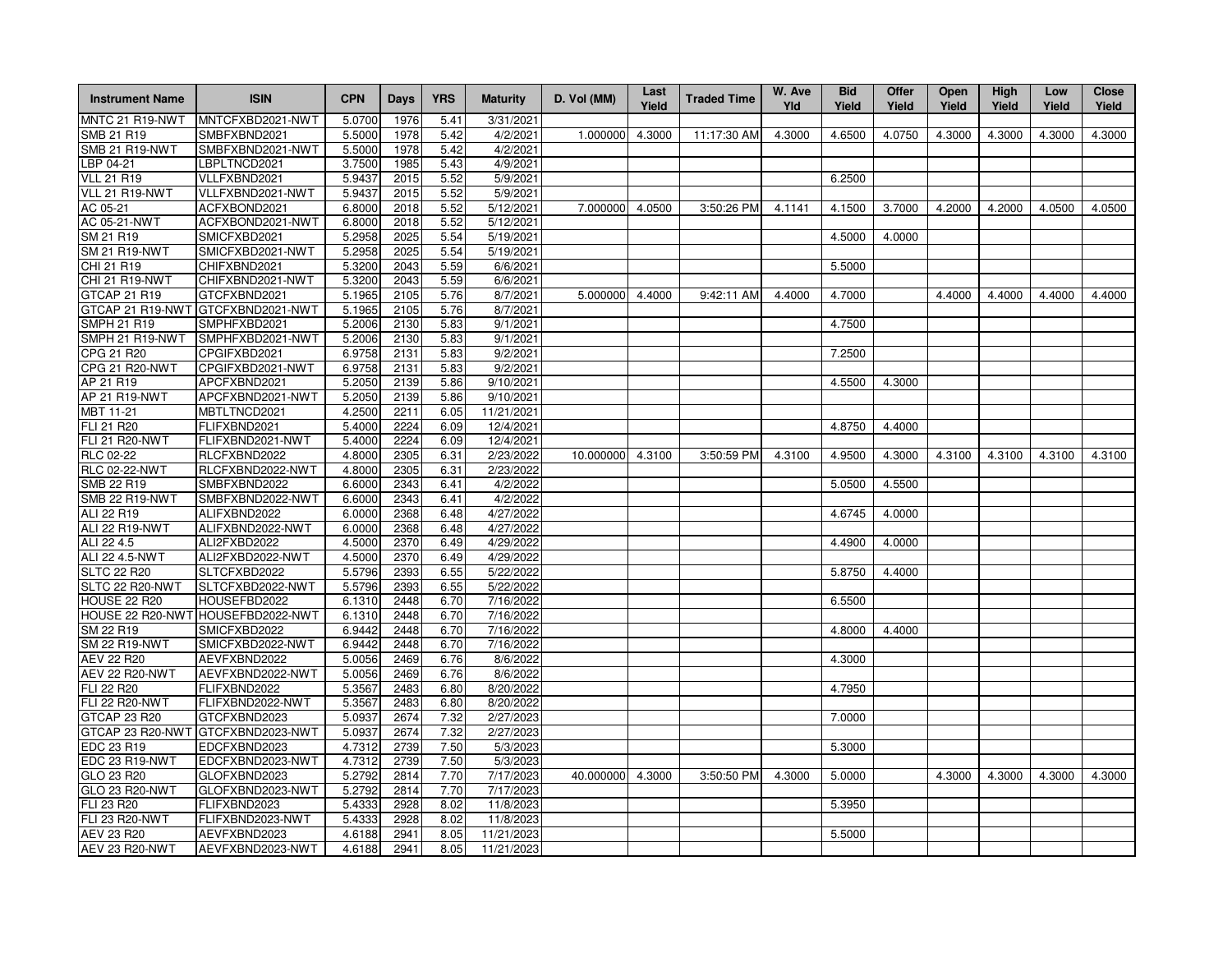| <b>Instrument Name</b> | <b>ISIN</b>                       | <b>CPN</b> | <b>Days</b> | <b>YRS</b> | <b>Maturity</b> | D. Vol (MM)      | Last<br>Yield | <b>Traded Time</b> | W. Ave<br>Yld | <b>Bid</b><br>Yield | <b>Offer</b><br>Yield | Open<br>Yield | High<br>Yield | Low<br>Yield | <b>Close</b><br>Yield |
|------------------------|-----------------------------------|------------|-------------|------------|-----------------|------------------|---------------|--------------------|---------------|---------------------|-----------------------|---------------|---------------|--------------|-----------------------|
| MNTC 21 R19-NWT        | MNTCFXBD2021-NWT                  | 5.0700     | 1976        | 5.41       | 3/31/2021       |                  |               |                    |               |                     |                       |               |               |              |                       |
| SMB 21 R19             | SMBFXBND2021                      | 5.5000     | 1978        | 5.42       | 4/2/2021        | 1.000000         | 4.3000        | 11:17:30 AM        | 4.3000        | 4.6500              | 4.0750                | 4.3000        | 4.3000        | 4.3000       | 4.3000                |
| <b>SMB 21 R19-NWT</b>  | SMBFXBND2021-NWT                  | 5.5000     | 1978        | 5.42       | 4/2/2021        |                  |               |                    |               |                     |                       |               |               |              |                       |
| BP 04-21               | LBPLTNCD2021                      | 3.7500     | 1985        | 5.43       | 4/9/2021        |                  |               |                    |               |                     |                       |               |               |              |                       |
| <b>VLL 21 R19</b>      | VLLFXBND2021                      | 5.9437     | 2015        | 5.52       | 5/9/2021        |                  |               |                    |               | 6.2500              |                       |               |               |              |                       |
| VLL 21 R19-NWT         | VLLFXBND2021-NWT                  | 5.9437     | 2015        | 5.52       | 5/9/2021        |                  |               |                    |               |                     |                       |               |               |              |                       |
| AC 05-21               | ACFXBOND2021                      | 6.8000     | 2018        | 5.52       | 5/12/2021       | 7.000000 4.0500  |               | 3:50:26 PM         | 4.1141        | 4.1500              | 3.7000                | 4.2000        | 4.2000        | 4.0500       | 4.0500                |
| AC 05-21-NWT           | ACFXBOND2021-NWT                  | 6.8000     | 2018        | 5.52       | 5/12/2021       |                  |               |                    |               |                     |                       |               |               |              |                       |
| SM 21 R19              | SMICFXBD2021                      | 5.2958     | 2025        | 5.54       | 5/19/2021       |                  |               |                    |               | 4.5000              | 4.0000                |               |               |              |                       |
| <b>SM 21 R19-NWT</b>   | SMICFXBD2021-NWT                  | 5.2958     | 2025        | 5.54       | 5/19/2021       |                  |               |                    |               |                     |                       |               |               |              |                       |
| CHI 21 R19             | CHIFXBND2021                      | 5.3200     | 2043        | 5.59       | 6/6/2021        |                  |               |                    |               | 5.5000              |                       |               |               |              |                       |
| CHI 21 R19-NWT         | CHIFXBND2021-NWT                  | 5.3200     | 2043        | 5.59       | 6/6/2021        |                  |               |                    |               |                     |                       |               |               |              |                       |
| GTCAP 21 R19           | GTCFXBND2021                      | 5.1965     | 2105        | 5.76       | 8/7/2021        | 5.000000         | 4.4000        | 9:42:11 AM         | 4.4000        | 4.7000              |                       | 4.4000        | 4.4000        | 4.4000       | 4.4000                |
|                        | GTCAP 21 R19-NWT GTCFXBND2021-NWT | 5.1965     | 2105        | 5.76       | 8/7/2021        |                  |               |                    |               |                     |                       |               |               |              |                       |
| <b>SMPH 21 R19</b>     | SMPHFXBD2021                      | 5.2006     | 2130        | 5.83       | 9/1/2021        |                  |               |                    |               | 4.7500              |                       |               |               |              |                       |
| SMPH 21 R19-NWT        | SMPHFXBD2021-NWT                  | 5.2006     | 2130        | 5.83       | 9/1/2021        |                  |               |                    |               |                     |                       |               |               |              |                       |
| CPG 21 R20             | CPGIFXBD2021                      | 6.9758     | 2131        | 5.83       | 9/2/2021        |                  |               |                    |               | 7.2500              |                       |               |               |              |                       |
| CPG 21 R20-NWT         | CPGIFXBD2021-NWT                  | 6.9758     | 2131        | 5.83       | 9/2/2021        |                  |               |                    |               |                     |                       |               |               |              |                       |
| AP 21 R19              | APCFXBND2021                      | 5.2050     | 2139        | 5.86       | 9/10/2021       |                  |               |                    |               | 4.5500              | 4.3000                |               |               |              |                       |
| AP 21 R19-NWT          | APCFXBND2021-NWT                  | 5.2050     | 2139        | 5.86       | 9/10/2021       |                  |               |                    |               |                     |                       |               |               |              |                       |
| MBT 11-21              | MBTLTNCD2021                      | 4.2500     | 2211        | 6.05       | 11/21/2021      |                  |               |                    |               |                     |                       |               |               |              |                       |
| FLI 21 R20             | FLIFXBND2021                      | 5.4000     | 2224        | 6.09       | 12/4/2021       |                  |               |                    |               | 4.8750              | 4.4000                |               |               |              |                       |
| <b>FLI 21 R20-NWT</b>  | FLIFXBND2021-NWT                  | 5.4000     | 2224        | 6.09       | 12/4/2021       |                  |               |                    |               |                     |                       |               |               |              |                       |
| <b>RLC 02-22</b>       | RLCFXBND2022                      | 4.8000     | 2305        | 6.31       | 2/23/2022       | 10.000000 4.3100 |               | 3:50:59 PM         | 4.3100        | 4.9500              | 4.3000                | 4.3100        | 4.3100        | 4.3100       | 4.3100                |
| <b>RLC 02-22-NWT</b>   | RLCFXBND2022-NWT                  | 4.8000     | 2305        | 6.31       | 2/23/2022       |                  |               |                    |               |                     |                       |               |               |              |                       |
| SMB 22 R19             | SMBFXBND2022                      | 6.6000     | 2343        | 6.41       | 4/2/2022        |                  |               |                    |               | 5.0500              | 4.5500                |               |               |              |                       |
| SMB 22 R19-NWT         | SMBFXBND2022-NWT                  | 6.6000     | 2343        | 6.41       | 4/2/2022        |                  |               |                    |               |                     |                       |               |               |              |                       |
| ALI 22 R19             | ALIFXBND2022                      | 6.0000     | 2368        | 6.48       | 4/27/2022       |                  |               |                    |               | 4.6745              | 4.0000                |               |               |              |                       |
| ALI 22 R19-NWT         | ALIFXBND2022-NWT                  | 6.0000     | 2368        | 6.48       | 4/27/2022       |                  |               |                    |               |                     |                       |               |               |              |                       |
| ALI 22 4.5             | ALI2FXBD2022                      | 4.5000     | 2370        | 6.49       | 4/29/2022       |                  |               |                    |               | 4.4900              | 4.0000                |               |               |              |                       |
| ALI 22 4.5-NWT         | ALI2FXBD2022-NWT                  | 4.5000     | 2370        | 6.49       | 4/29/2022       |                  |               |                    |               |                     |                       |               |               |              |                       |
| <b>SLTC 22 R20</b>     | SLTCFXBD2022                      | 5.5796     | 2393        | 6.55       | 5/22/2022       |                  |               |                    |               | 5.8750              | 4.4000                |               |               |              |                       |
| SLTC 22 R20-NWT        | SLTCFXBD2022-NWT                  | 5.5796     | 2393        | 6.55       | 5/22/2022       |                  |               |                    |               |                     |                       |               |               |              |                       |
| HOUSE 22 R20           | HOUSEFBD2022                      | 6.1310     | 2448        | 6.70       | 7/16/2022       |                  |               |                    |               | 6.5500              |                       |               |               |              |                       |
|                        | HOUSE 22 R20-NWT HOUSEFBD2022-NWT | 6.1310     | 2448        | 6.70       | 7/16/2022       |                  |               |                    |               |                     |                       |               |               |              |                       |
| SM 22 R19              | SMICFXBD2022                      | 6.9442     | 2448        | 6.70       | 7/16/2022       |                  |               |                    |               | 4.8000              | 4.4000                |               |               |              |                       |
| <b>SM 22 R19-NWT</b>   | SMICFXBD2022-NWT                  | 6.9442     | 2448        | 6.70       | 7/16/2022       |                  |               |                    |               |                     |                       |               |               |              |                       |
| AEV 22 R20             | AEVFXBND2022                      | 5.0056     | 2469        | 6.76       | 8/6/2022        |                  |               |                    |               | 4.3000              |                       |               |               |              |                       |
| <b>AEV 22 R20-NWT</b>  | AEVFXBND2022-NWT                  | 5.0056     | 2469        | 6.76       | 8/6/2022        |                  |               |                    |               |                     |                       |               |               |              |                       |
| FLI 22 R20             | FLIFXBND2022                      | 5.3567     | 2483        | 6.80       | 8/20/2022       |                  |               |                    |               | 4.7950              |                       |               |               |              |                       |
| <b>FLI 22 R20-NWT</b>  | FLIFXBND2022-NWT                  | 5.3567     | 2483        | 6.80       | 8/20/2022       |                  |               |                    |               |                     |                       |               |               |              |                       |
| GTCAP 23 R20           | GTCFXBND2023                      | 5.0937     | 2674        | 7.32       | 2/27/2023       |                  |               |                    |               | 7.0000              |                       |               |               |              |                       |
|                        | GTCAP 23 R20-NWT GTCFXBND2023-NWT | 5.0937     | 2674        | 7.32       | 2/27/2023       |                  |               |                    |               |                     |                       |               |               |              |                       |
| EDC 23 R19             | EDCFXBND2023                      | 4.7312     | 2739        | 7.50       | 5/3/2023        |                  |               |                    |               | 5.3000              |                       |               |               |              |                       |
| EDC 23 R19-NWT         | EDCFXBND2023-NWT                  | 4.7312     | 2739        | 7.50       | 5/3/2023        |                  |               |                    |               |                     |                       |               |               |              |                       |
| GLO 23 R20             | GLOFXBND2023                      | 5.2792     | 2814        | 7.70       | 7/17/2023       | 40.000000 4.3000 |               | 3:50:50 PM         | 4.3000        | 5.0000              |                       | 4.3000        | 4.3000        | 4.3000       | 4.3000                |
| GLO 23 R20-NWT         | GLOFXBND2023-NWT                  | 5.2792     | 2814        | 7.70       | 7/17/2023       |                  |               |                    |               |                     |                       |               |               |              |                       |
| FLI 23 R20             | FLIFXBND2023                      | 5.4333     | 2928        | 8.02       | 11/8/2023       |                  |               |                    |               | 5.3950              |                       |               |               |              |                       |
| <b>FLI 23 R20-NWT</b>  | FLIFXBND2023-NWT                  | 5.4333     | 2928        | 8.02       | 11/8/2023       |                  |               |                    |               |                     |                       |               |               |              |                       |
| AEV 23 R20             | AEVFXBND2023                      | 4.6188     | 2941        | 8.05       | 11/21/2023      |                  |               |                    |               | 5.5000              |                       |               |               |              |                       |
| <b>AEV 23 R20-NWT</b>  | AEVFXBND2023-NWT                  | 4.6188     | 2941        | 8.05       | 11/21/2023      |                  |               |                    |               |                     |                       |               |               |              |                       |